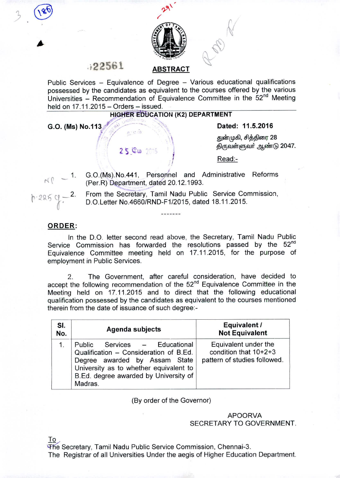

# .;22561 <sup>~</sup>

Public Services - Equivalence of Degree - Various educational qualifications possessed by the candidates as equivalent to the courses offered by the various Universities - Recommendation of Equivalence Committee in the 52<sup>nd</sup> Meeting held on  $17.11.2015 -$  Orders  $-$  issued.

## HIGHER EDUCATION (K2) DEPARTMENT

G.O. (Ms) No.113 **Co. A.** Dated: 11.5.2016 ••~ "/ :.,~ 'l .

 $(185)$ 

 $\sqrt{2}$ 

துன்முகி, சித்திரை 28 ்துன்முகி, சித்திரை 28<br>2 S டேம் 2015 குடுவள்ளுவர் ஆண்டு 2047.

 $\mathsf{Read:}\ \blacksquare$ 

1. r{r - G.0.(Ms).No.441, Perso.nhel and Administrative Reforms (Per.R) Department, dated 20.12.1993

 $\frac{1}{2}$ 

h.225 CL - 2. From the Secretary, Tamil Nadu Public Service Commission,  $P$  -225 CL - DO Letter No.4660/RND-F1/2015 dated 18.11.2015 D.O.Letter No.4660/RND-F1/2015, dated 18.11.2015.

--------

### ORDER:

In the D.O. letter second read above, the Secretary, Tamil Nadu Public Service Commission has forwarded the resolutions passed by the  $52<sup>nd</sup>$ Equivalence Committee meeting held on 17.11.2015, for the purpose of employment in Public Services.

2. The Government, after careful consideration, have decided to accept the following recommendation of the 52<sup>nd</sup> Equivalence Committee in the Meeting held on 17.11.2015 and to direct that the following educational qualification possessed by the candidates as equivalent to the courses mentioned therein from the date of issuance of such degree:-

| SI.<br>No. | Agenda subjects                                                                                                                                                                                        | Equivalent /<br><b>Not Equivalent</b>                                         |
|------------|--------------------------------------------------------------------------------------------------------------------------------------------------------------------------------------------------------|-------------------------------------------------------------------------------|
| 1.         | Public Services - Educational<br>Qualification - Consideration of B.Ed.<br>Degree awarded by Assam State<br>University as to whether equivalent to<br>B.Ed. degree awarded by University of<br>Madras. | Equivalent under the<br>condition that 10+2+3<br>pattern of studies followed. |

(By order of the Governor)

## APOORVA SECRETARY TO GOVERNMENT.

To

The Secretary, Tamil Nadu Public Service Commission, Chennai-3. The Registrar of all Universities Under the aegis of Higher Education Department.